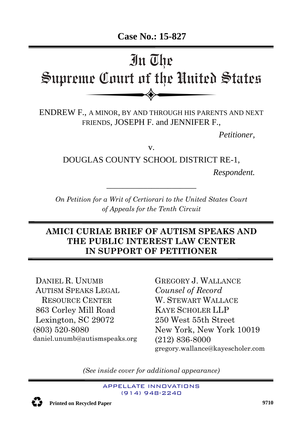

# **AMICI CURIAE BRIEF OF AUTISM SPEAKS AND THE PUBLIC INTEREST LAW CENTER IN SUPPORT OF PETITIONER**

DANIEL R. UNUMB AUTISM SPEAKS LEGAL RESOURCE CENTER 863 Corley Mill Road Lexington, SC 29072 (803) 520-8080 daniel.unumb@autismspeaks.org

GREGORY J. WALLANCE *Counsel of Record* W. STEWART WALLACE KAYE SCHOLER LLP 250 West 55th Street New York, New York 10019 (212) 836-8000 gregory.wallance@kayescholer.com

*(See inside cover for additional appearance)*

APPELLATE INNOVATIONS (914) 948-2240



**7791 Printed on Recycled Paper <sup>9710</sup>**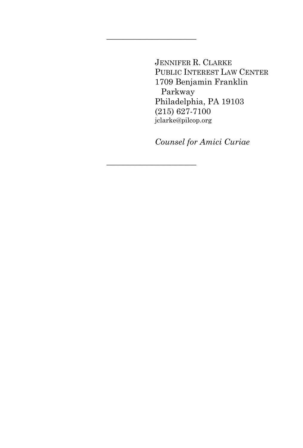JENNIFER R. CLARKE PUBLIC INTEREST LAW CENTER 1709 Benjamin Franklin Parkway Philadelphia, PA 19103 (215) 627-7100 jclarke@pilcop.org

 $\overline{\phantom{a}}$  , where  $\overline{\phantom{a}}$  , where  $\overline{\phantom{a}}$  , where  $\overline{\phantom{a}}$ 

\_\_\_\_\_\_\_\_\_\_\_\_\_\_\_\_\_\_\_\_\_\_

*Counsel for Amici Curiae*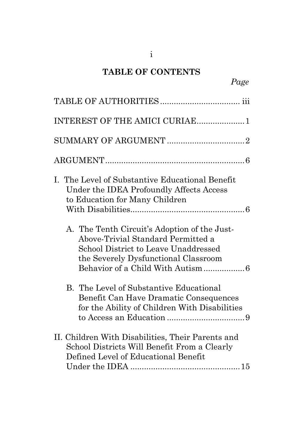# **TABLE OF CONTENTS**

| INTEREST OF THE AMICI CURIAE 1                                                                                                                                     |
|--------------------------------------------------------------------------------------------------------------------------------------------------------------------|
|                                                                                                                                                                    |
|                                                                                                                                                                    |
| I. The Level of Substantive Educational Benefit<br>Under the IDEA Profoundly Affects Access<br>to Education for Many Children                                      |
| A. The Tenth Circuit's Adoption of the Just-<br>Above-Trivial Standard Permitted a<br>School District to Leave Unaddressed<br>the Severely Dysfunctional Classroom |
| B. The Level of Substantive Educational<br>Benefit Can Have Dramatic Consequences<br>for the Ability of Children With Disabilities                                 |
| II. Children With Disabilities, Their Parents and<br>School Districts Will Benefit From a Clearly<br>Defined Level of Educational Benefit                          |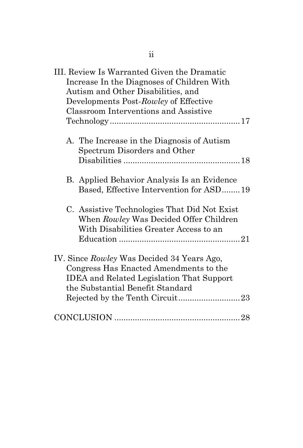| III. Review Is Warranted Given the Dramatic<br>Increase In the Diagnoses of Children With<br>Autism and Other Disabilities, and<br>Developments Post-Rowley of Effective<br>Classroom Interventions and Assistive |
|-------------------------------------------------------------------------------------------------------------------------------------------------------------------------------------------------------------------|
| A. The Increase in the Diagnosis of Autism<br>Spectrum Disorders and Other                                                                                                                                        |
| B. Applied Behavior Analysis Is an Evidence<br>Based, Effective Intervention for ASD19                                                                                                                            |
| C. Assistive Technologies That Did Not Exist<br>When Rowley Was Decided Offer Children<br>With Disabilities Greater Access to an                                                                                  |
| IV. Since Rowley Was Decided 34 Years Ago,<br>Congress Has Enacted Amendments to the<br><b>IDEA</b> and Related Legislation That Support<br>the Substantial Benefit Standard                                      |
|                                                                                                                                                                                                                   |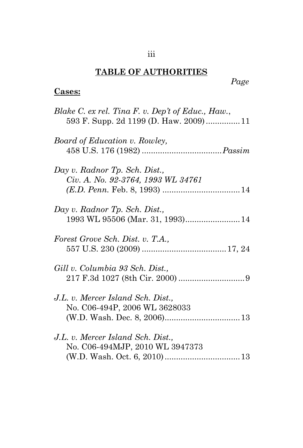# iii

# **TABLE OF AUTHORITIES**

# **Cases:**

| Blake C. ex rel. Tina F. v. Dep't of Educ., Haw.,<br>593 F. Supp. 2d 1199 (D. Haw. 2009)11 |
|--------------------------------------------------------------------------------------------|
| Board of Education v. Rowley,                                                              |
| Day v. Radnor Tp. Sch. Dist.,<br>Civ. A. No. 92-3764, 1993 WL 34761                        |
| Day v. Radnor Tp. Sch. Dist.,                                                              |
| Forest Grove Sch. Dist. v. T.A.,                                                           |
| Gill v. Columbia 93 Sch. Dist.,                                                            |
| J.L. v. Mercer Island Sch. Dist.,<br>No. C06-494P, 2006 WL 3628033                         |
| J.L. v. Mercer Island Sch. Dist.,<br>No. C06-494MJP, 2010 WL 3947373                       |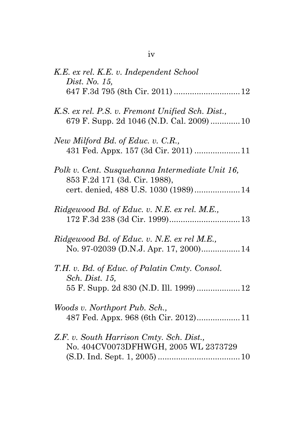| K.E. ex rel. K.E. v. Independent School<br><i>Dist. No.</i> 15,                                                           |  |
|---------------------------------------------------------------------------------------------------------------------------|--|
|                                                                                                                           |  |
| K.S. ex rel. P.S. v. Fremont Unified Sch. Dist.,<br>679 F. Supp. 2d 1046 (N.D. Cal. 2009)  10                             |  |
| New Milford Bd. of Educ. v. C.R.,<br>431 Fed. Appx. 157 (3d Cir. 2011)  11                                                |  |
| Polk v. Cent. Susquehanna Intermediate Unit 16,<br>853 F.2d 171 (3d. Cir. 1988),<br>cert. denied, 488 U.S. 1030 (1989) 14 |  |
| Ridgewood Bd. of Educ. v. N.E. ex rel. M.E.,                                                                              |  |
| Ridgewood Bd. of Educ. v. N.E. ex rel M.E.,                                                                               |  |
| T.H. v. Bd. of Educ. of Palatin Cmty. Consol.<br>Sch. Dist. 15,<br>55 F. Supp. 2d 830 (N.D. Ill. 1999)  12                |  |
| Woods v. Northport Pub. Sch.,<br>487 Fed. Appx. 968 (6th Cir. 2012)11                                                     |  |
| Z.F. v. South Harrison Cmty. Sch. Dist.,<br>No. 404CV0073DFHWGH, 2005 WL 2373729                                          |  |

iv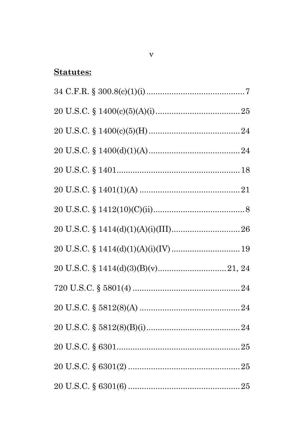# **Statutes:**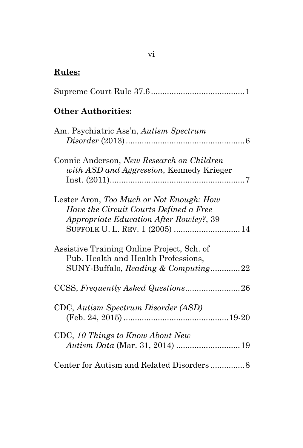# **Rules:**

|--|

# **Other Authorities:**

| Am. Psychiatric Ass'n, Autism Spectrum                                                                                                                                  |
|-------------------------------------------------------------------------------------------------------------------------------------------------------------------------|
|                                                                                                                                                                         |
| Connie Anderson, New Research on Children<br>with ASD and Aggression, Kennedy Krieger                                                                                   |
| Lester Aron, Too Much or Not Enough: How<br>Have the Circuit Courts Defined a Free<br><i>Appropriate Education After Rowley?, 39</i><br>SUFFOLK U. L. REV. 1 (2005)  14 |
| Assistive Training Online Project, Sch. of<br>Pub. Health and Health Professions,<br>SUNY-Buffalo, Reading & Computing22                                                |
|                                                                                                                                                                         |
| CDC, Autism Spectrum Disorder (ASD)                                                                                                                                     |
| CDC, 10 Things to Know About New                                                                                                                                        |
|                                                                                                                                                                         |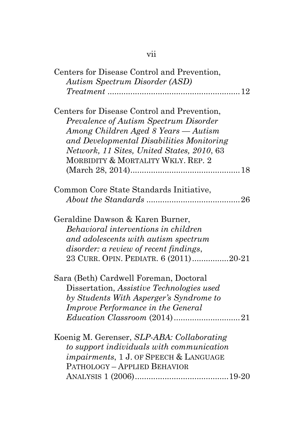| Centers for Disease Control and Prevention,<br><b>Autism Spectrum Disorder (ASD)</b>                                                                                                                                                                           |
|----------------------------------------------------------------------------------------------------------------------------------------------------------------------------------------------------------------------------------------------------------------|
| Centers for Disease Control and Prevention,<br>Prevalence of Autism Spectrum Disorder<br>Among Children Aged 8 Years — Autism<br>and Developmental Disabilities Monitoring<br>Network, 11 Sites, United States, 2010, 63<br>MORBIDITY & MORTALITY WKLY. REP. 2 |
| Common Core State Standards Initiative,                                                                                                                                                                                                                        |
| Geraldine Dawson & Karen Burner,<br>Behavioral interventions in children<br>and adolescents with autism spectrum<br><i>disorder: a review of recent findings,</i><br>23 CURR. OPIN. PEDIATR. 6 (2011)20-21                                                     |
| Sara (Beth) Cardwell Foreman, Doctoral<br>Dissertation, Assistive Technologies used<br>by Students With Asperger's Syndrome to<br>Improve Performance in the General                                                                                           |
| Koenig M. Gerenser, SLP-ABA: Collaborating<br>to support individuals with communication<br><i>impairments</i> , 1 J. OF SPEECH & LANGUAGE<br>PATHOLOGY - APPLIED BEHAVIOR                                                                                      |

# vii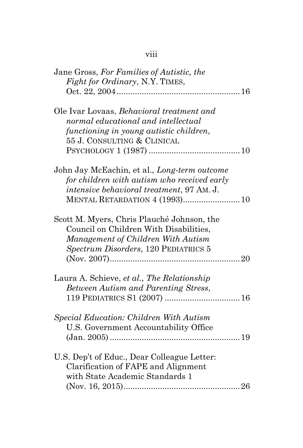| Jane Gross, For Families of Autistic, the<br>Fight for Ordinary, N.Y. TIMES,                                                                                                      |  |
|-----------------------------------------------------------------------------------------------------------------------------------------------------------------------------------|--|
| Ole Ivar Lovaas, Behavioral treatment and<br>normal educational and intellectual<br>functioning in young autistic children,<br>55 J. CONSULTING & CLINICAL                        |  |
| John Jay McEachin, et al., Long-term outcome<br>for children with autism who received early<br>intensive behavioral treatment, 97 AM. J.<br><b>MENTAL RETARDATION 4 (1993) 10</b> |  |
| Scott M. Myers, Chris Plauché Johnson, the<br>Council on Children With Disabilities,<br>Management of Children With Autism<br>Spectrum Disorders, 120 PEDIATRICS 5                |  |
| Laura A. Schieve, et al., The Relationship<br>Between Autism and Parenting Stress,                                                                                                |  |
| Special Education: Children With Autism<br>U.S. Government Accountability Office                                                                                                  |  |
| U.S. Dep't of Educ., Dear Colleague Letter:<br>Clarification of FAPE and Alignment<br>with State Academic Standards 1                                                             |  |

# viii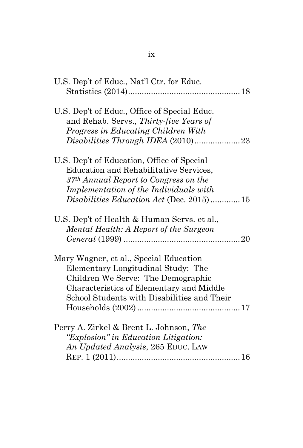| U.S. Dep't of Educ., Nat'l Ctr. for Educ.                                                                                                                                                                     |
|---------------------------------------------------------------------------------------------------------------------------------------------------------------------------------------------------------------|
| U.S. Dep't of Educ., Office of Special Educ.<br>and Rehab. Servs., Thirty-five Years of<br>Progress in Educating Children With                                                                                |
| U.S. Dep't of Education, Office of Special<br>Education and Rehabilitative Services,<br>37 <sup>th</sup> Annual Report to Congress on the                                                                     |
| Implementation of the Individuals with<br>Disabilities Education Act (Dec. 2015)15                                                                                                                            |
| U.S. Dep't of Health & Human Servs. et al.,<br>Mental Health: A Report of the Surgeon                                                                                                                         |
| Mary Wagner, et al., Special Education<br>Elementary Longitudinal Study: The<br>Children We Serve: The Demographic<br>Characteristics of Elementary and Middle<br>School Students with Disabilities and Their |
| Perry A. Zirkel & Brent L. Johnson, The<br>"Explosion" in Education Litigation:<br>An Updated Analysis, 265 EDUC. LAW                                                                                         |
|                                                                                                                                                                                                               |

ix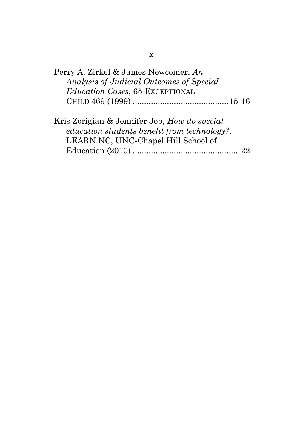| Perry A. Zirkel & James Newcomer, An                                                                                                              |  |                                 |  |  |                                          |  |  |
|---------------------------------------------------------------------------------------------------------------------------------------------------|--|---------------------------------|--|--|------------------------------------------|--|--|
|                                                                                                                                                   |  |                                 |  |  | Analysis of Judicial Outcomes of Special |  |  |
|                                                                                                                                                   |  | Education Cases, 65 EXCEPTIONAL |  |  |                                          |  |  |
|                                                                                                                                                   |  |                                 |  |  |                                          |  |  |
|                                                                                                                                                   |  |                                 |  |  |                                          |  |  |
| $\tau\tau$ , $\tau$ , $\tau$ , $\tau$ , $\tau$ , $\tau$ , $\tau$ , $\tau$ , $\tau$ , $\tau$ , $\tau$ , $\tau$ , $\tau$ , $\tau$ , $\tau$ , $\tau$ |  |                                 |  |  |                                          |  |  |

Kris Zorigian & Jennifer Job, *How do special education students benefit from technology?*, LEARN NC, UNC-Chapel Hill School of Education (2010) ...............................................22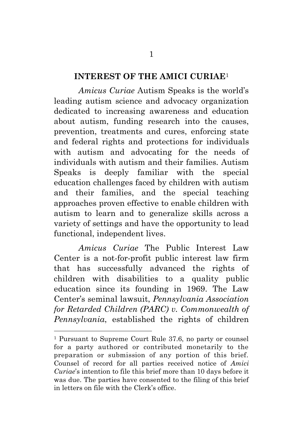#### **INTEREST OF THE AMICI CURIAE**<sup>1</sup>

*Amicus Curiae* Autism Speaks is the world's leading autism science and advocacy organization dedicated to increasing awareness and education about autism, funding research into the causes, prevention, treatments and cures, enforcing state and federal rights and protections for individuals with autism and advocating for the needs of individuals with autism and their families. Autism Speaks is deeply familiar with the special education challenges faced by children with autism and their families, and the special teaching approaches proven effective to enable children with autism to learn and to generalize skills across a variety of settings and have the opportunity to lead functional, independent lives.

*Amicus Curiae* The Public Interest Law Center is a not-for-profit public interest law firm that has successfully advanced the rights of children with disabilities to a quality public education since its founding in 1969. The Law Center's seminal lawsuit, *Pennsylvania Association for Retarded Children (PARC) v. Commonwealth of Pennsylvania*, established the rights of children

<sup>1</sup> Pursuant to Supreme Court Rule 37.6, no party or counsel for a party authored or contributed monetarily to the preparation or submission of any portion of this brief. Counsel of record for all parties received notice of *Amici Curiae*'s intention to file this brief more than 10 days before it was due. The parties have consented to the filing of this brief in letters on file with the Clerk's office.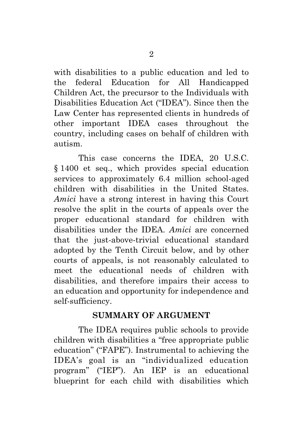with disabilities to a public education and led to the federal Education for All Handicapped Children Act, the precursor to the Individuals with Disabilities Education Act ("IDEA"). Since then the Law Center has represented clients in hundreds of other important IDEA cases throughout the country, including cases on behalf of children with autism.

This case concerns the IDEA, 20 U.S.C. § 1400 et seq., which provides special education services to approximately 6.4 million school-aged children with disabilities in the United States. *Amici* have a strong interest in having this Court resolve the split in the courts of appeals over the proper educational standard for children with disabilities under the IDEA. *Amici* are concerned that the just-above-trivial educational standard adopted by the Tenth Circuit below, and by other courts of appeals, is not reasonably calculated to meet the educational needs of children with disabilities, and therefore impairs their access to an education and opportunity for independence and self-sufficiency.

### **SUMMARY OF ARGUMENT**

The IDEA requires public schools to provide children with disabilities a "free appropriate public education" ("FAPE"). Instrumental to achieving the IDEA's goal is an "individualized education program" ("IEP"). An IEP is an educational blueprint for each child with disabilities which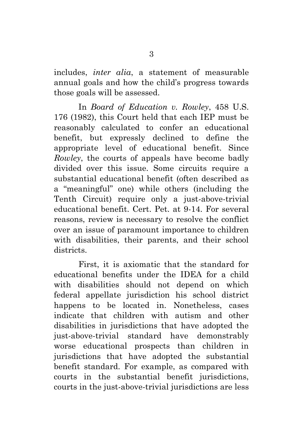includes, *inter alia*, a statement of measurable annual goals and how the child's progress towards those goals will be assessed.

In *Board of Education v. Rowley*, 458 U.S. 176 (1982), this Court held that each IEP must be reasonably calculated to confer an educational benefit, but expressly declined to define the appropriate level of educational benefit. Since *Rowley*, the courts of appeals have become badly divided over this issue. Some circuits require a substantial educational benefit (often described as a "meaningful" one) while others (including the Tenth Circuit) require only a just-above-trivial educational benefit. Cert. Pet. at 9-14. For several reasons, review is necessary to resolve the conflict over an issue of paramount importance to children with disabilities, their parents, and their school districts.

First, it is axiomatic that the standard for educational benefits under the IDEA for a child with disabilities should not depend on which federal appellate jurisdiction his school district happens to be located in. Nonetheless, cases indicate that children with autism and other disabilities in jurisdictions that have adopted the just-above-trivial standard have demonstrably worse educational prospects than children in jurisdictions that have adopted the substantial benefit standard. For example, as compared with courts in the substantial benefit jurisdictions, courts in the just-above-trivial jurisdictions are less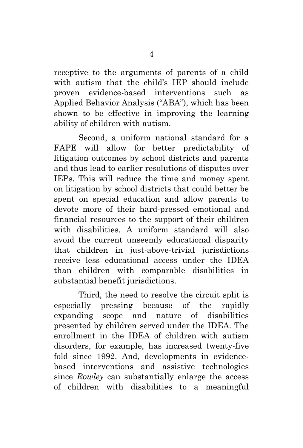receptive to the arguments of parents of a child with autism that the child's IEP should include proven evidence-based interventions such as Applied Behavior Analysis ("ABA"), which has been shown to be effective in improving the learning ability of children with autism.

Second, a uniform national standard for a FAPE will allow for better predictability of litigation outcomes by school districts and parents and thus lead to earlier resolutions of disputes over IEPs. This will reduce the time and money spent on litigation by school districts that could better be spent on special education and allow parents to devote more of their hard-pressed emotional and financial resources to the support of their children with disabilities. A uniform standard will also avoid the current unseemly educational disparity that children in just-above-trivial jurisdictions receive less educational access under the IDEA than children with comparable disabilities in substantial benefit jurisdictions.

Third, the need to resolve the circuit split is especially pressing because of the rapidly expanding scope and nature of disabilities presented by children served under the IDEA. The enrollment in the IDEA of children with autism disorders, for example, has increased twenty-five fold since 1992. And, developments in evidencebased interventions and assistive technologies since *Rowley* can substantially enlarge the access of children with disabilities to a meaningful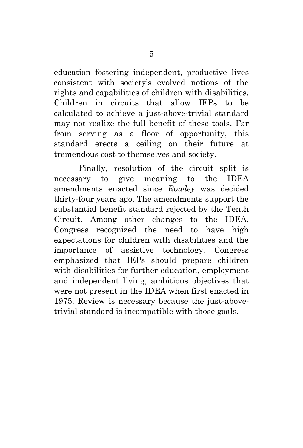education fostering independent, productive lives consistent with society's evolved notions of the rights and capabilities of children with disabilities. Children in circuits that allow IEPs to be calculated to achieve a just-above-trivial standard may not realize the full benefit of these tools. Far from serving as a floor of opportunity, this standard erects a ceiling on their future at tremendous cost to themselves and society.

Finally, resolution of the circuit split is necessary to give meaning to the IDEA amendments enacted since *Rowley* was decided thirty-four years ago. The amendments support the substantial benefit standard rejected by the Tenth Circuit. Among other changes to the IDEA, Congress recognized the need to have high expectations for children with disabilities and the importance of assistive technology. Congress emphasized that IEPs should prepare children with disabilities for further education, employment and independent living, ambitious objectives that were not present in the IDEA when first enacted in 1975. Review is necessary because the just-abovetrivial standard is incompatible with those goals.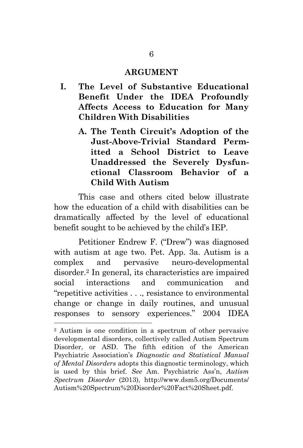#### **ARGUMENT**

- **I. The Level of Substantive Educational Benefit Under the IDEA Profoundly Affects Access to Education for Many Children With Disabilities**
	- **A. The Tenth Circuit's Adoption of the Just-Above-Trivial Standard Permitted a School District to Leave Unaddressed the Severely Dysfunctional Classroom Behavior of a Child With Autism**

This case and others cited below illustrate how the education of a child with disabilities can be dramatically affected by the level of educational benefit sought to be achieved by the child's IEP.

Petitioner Endrew F. ("Drew") was diagnosed with autism at age two. Pet. App. 3a. Autism is a complex and pervasive neuro-developmental disorder.<sup>2</sup> In general, its characteristics are impaired social interactions and communication and "repetitive activities . . ., resistance to environmental change or change in daily routines, and unusual responses to sensory experiences." 2004 IDEA

<sup>2</sup> Autism is one condition in a spectrum of other pervasive developmental disorders, collectively called Autism Spectrum Disorder, or ASD. The fifth edition of the American Psychiatric Association's *Diagnostic and Statistical Manual of Mental Disorders* adopts this diagnostic terminology, which is used by this brief. *See* Am. Psychiatric Ass'n, *Autism Spectrum Disorder* (2013), <http://www.dsm5.org/Documents/> Autism%20Spectrum%20Disorder%20Fact%20Sheet.pdf.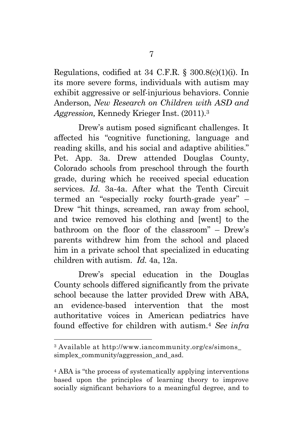Regulations, codified at 34 C.F.R. § 300.8(c)(1)(i). In its more severe forms, individuals with autism may exhibit aggressive or self-injurious behaviors. Connie Anderson, *New Research on Children with ASD and Aggression,* Kennedy Krieger Inst. (2011).<sup>3</sup>

Drew's autism posed significant challenges. It affected his "cognitive functioning, language and reading skills, and his social and adaptive abilities." Pet. App. 3a. Drew attended Douglas County, Colorado schools from preschool through the fourth grade, during which he received special education services. *Id*. 3a-4a. After what the Tenth Circuit termed an "especially rocky fourth-grade year" – Drew "hit things, screamed, ran away from school, and twice removed his clothing and [went] to the bathroom on the floor of the classroom" – Drew's parents withdrew him from the school and placed him in a private school that specialized in educating children with autism. *Id.* 4a, 12a.

Drew's special education in the Douglas County schools differed significantly from the private school because the latter provided Drew with ABA, an evidence-based intervention that the most authoritative voices in American pediatrics have found effective for children with autism.<sup>4</sup> *See infra*

<sup>3</sup> Available at http://www.iancommunity.org/cs/simons\_ simplex\_community/aggression\_and\_asd.

<sup>4</sup> ABA is "the process of systematically applying interventions based upon the principles of learning theory to improve socially significant behaviors to a meaningful degree, and to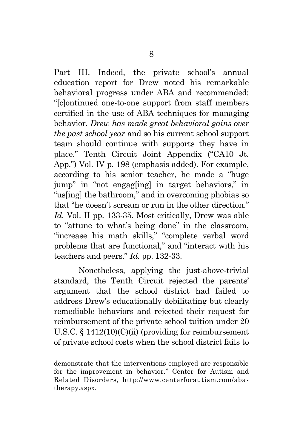Part III. Indeed, the private school's annual education report for Drew noted his remarkable behavioral progress under ABA and recommended: "[c]ontinued one-to-one support from staff members certified in the use of ABA techniques for managing behavior. *Drew has made great behavioral gains over the past school year* and so his current school support team should continue with supports they have in place." Tenth Circuit Joint Appendix ("CA10 Jt. App.") Vol. IV p. 198 (emphasis added). For example, according to his senior teacher, he made a "huge jump" in "not engag[ing] in target behaviors," in "us[ing] the bathroom," and in overcoming phobias so that "he doesn't scream or run in the other direction." *Id.* Vol. II pp. 133-35. Most critically, Drew was able to "attune to what's being done" in the classroom, "increase his math skills," "complete verbal word problems that are functional," and "interact with his teachers and peers." *Id.* pp. 132-33.

Nonetheless, applying the just-above-trivial standard, the Tenth Circuit rejected the parents' argument that the school district had failed to address Drew's educationally debilitating but clearly remediable behaviors and rejected their request for reimbursement of the private school tuition under [20](https://a.next.westlaw.com/Link/Document/FullText?findType=L&pubNum=1000546&cite=20USCAS1412&originatingDoc=I20eae2d54b4c11e5b86bd602cb8781fa&refType=LQ&originationContext=document&transitionType=DocumentItem&contextData=(sc.UserEnteredCitation))  U.S.C.  $\S$  [1412\(10\)\(C\)\(ii\)](https://a.next.westlaw.com/Link/Document/FullText?findType=L&pubNum=1000546&cite=20USCAS1412&originatingDoc=I20eae2d54b4c11e5b86bd602cb8781fa&refType=LQ&originationContext=document&transitionType=DocumentItem&contextData=(sc.UserEnteredCitation)) (providing for reimbursement of private school costs when the school district fails to

demonstrate that the interventions employed are responsible for the improvement in behavior." Center for Autism and Related Disorders, http://www.centerforautism.com/abatherapy.aspx.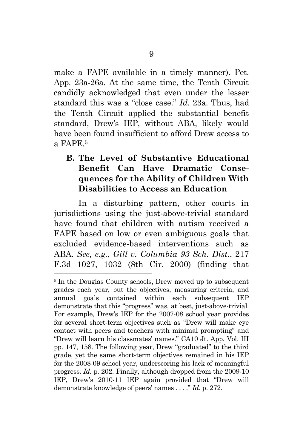make a FAPE available in a timely manner). Pet. App. 23a-26a. At the same time, the Tenth Circuit candidly acknowledged that even under the lesser standard this was a "close case." *Id.* 23a. Thus, had the Tenth Circuit applied the substantial benefit standard, Drew's IEP, without ABA, likely would have been found insufficient to afford Drew access to a FAPE.<sup>5</sup>

# **B. The Level of Substantive Educational Benefit Can Have Dramatic Consequences for the Ability of Children With Disabilities to Access an Education**

In a disturbing pattern, other courts in jurisdictions using the just-above-trivial standard have found that children with autism received a FAPE based on low or even ambiguous goals that excluded evidence-based interventions such as ABA. *See, e.g.*, *Gill v. Columbia 93 Sch. Dist.*, 217 F.3d 1027, 1032 (8th Cir. 2000) (finding that

<sup>&</sup>lt;sup>5</sup> In the Douglas County schools, Drew moved up to subsequent grades each year, but the objectives, measuring criteria, and annual goals contained within each subsequent IEP demonstrate that this "progress" was, at best, just-above-trivial. For example, Drew's IEP for the 2007-08 school year provides for several short-term objectives such as "Drew will make eye contact with peers and teachers with minimal prompting" and "Drew will learn his classmates' names." CA10 Jt. App. Vol. III pp. 147, 158. The following year, Drew "graduated" to the third grade, yet the same short-term objectives remained in his IEP for the 2008-09 school year, underscoring his lack of meaningful progress. *Id.* p. 202. Finally, although dropped from the 2009-10 IEP, Drew's 2010-11 IEP again provided that "Drew will demonstrate knowledge of peers' names . . . ." *Id.* p. 272.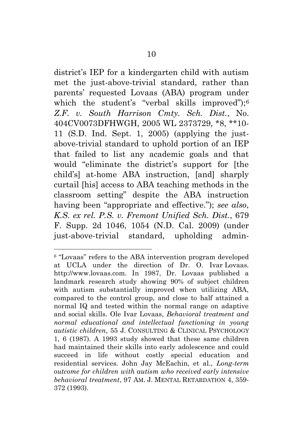district's IEP for a kindergarten child with autism met the just-above-trivial standard, rather than parents' requested Lovaas (ABA) program under which the student's "verbal skills improved");<sup>6</sup> *Z.F. v. South Harrison Cmty. Sch. Dist.*, No. 404CV0073DFHWGH, 2005 WL 2373729, \*8, \*\*10- 11 (S.D. Ind. Sept. 1, 2005) (applying the justabove-trivial standard to uphold portion of an IEP that failed to list any academic goals and that would "eliminate the district's support for [the child's] at-home ABA instruction, [and] sharply curtail [his] access to ABA teaching methods in the classroom setting" despite the ABA instruction having been "appropriate and effective."); *see also*, *K.S. ex rel. P.S. v. Fremont Unified Sch. Dist.*, 679 F. Supp. 2d 1046, 1054 (N.D. Cal. 2009) (under just-above-trivial standard, upholding admin-

<sup>6</sup> "Lovaas" refers to the ABA intervention program developed at UCLA under the direction of Dr. O. Ivar Lovaas*.* http://www.lovaas.com. In 1987, Dr. Lovaas published a landmark research study showing 90% of subject children with autism substantially improved when utilizing ABA, compared to the control group, and close to half attained a normal IQ and tested within the normal range on adaptive and social skills. Ole Ivar Lovaas, *Behavioral treatment and normal educational and intellectual functioning in young autistic children*, 55 J. CONSULTING & CLINICAL PSYCHOLOGY 1, 6 (1987). A 1993 study showed that these same children had maintained their skills into early adolescence and could succeed in life without costly special education and residential services. John Jay McEachin, et al., *Long-term outcome for children with autism who received early intensive behavioral treatment*, 97 AM. J. MENTAL RETARDATION 4, 359- 372 (1993).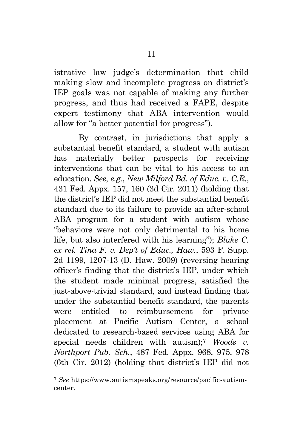istrative law judge's determination that child making slow and incomplete progress on district's IEP goals was not capable of making any further progress, and thus had received a FAPE, despite expert testimony that ABA intervention would allow for "a better potential for progress").

By contrast, in jurisdictions that apply a substantial benefit standard, a student with autism has materially better prospects for receiving interventions that can be vital to his access to an education. *See*, *e.g.*, *New Milford Bd. of Educ. v. C.R.*, 431 Fed. Appx. 157, 160 (3d Cir. 2011) (holding that the district's IEP did not meet the substantial benefit standard due to its failure to provide an after-school ABA program for a student with autism whose "behaviors were not only detrimental to his home life, but also interfered with his learning"); *Blake C. ex rel. Tina F. v. Dep't of Educ., Haw.*, 593 F. Supp. 2d 1199, 1207-13 (D. Haw. 2009) (reversing hearing officer's finding that the district's IEP, under which the student made minimal progress, satisfied the just-above-trivial standard, and instead finding that under the substantial benefit standard, the parents were entitled to reimbursement for private placement at Pacific Autism Center, a school dedicated to research-based services using ABA for special needs children with autism);<sup>7</sup> *Woods v. Northport Pub. Sch.*, 487 Fed. Appx. 968, 975, 978 (6th Cir. 2012) (holding that district's IEP did not

<sup>7</sup> *See* https://www.autismspeaks.org/resource/pacific-autismcenter.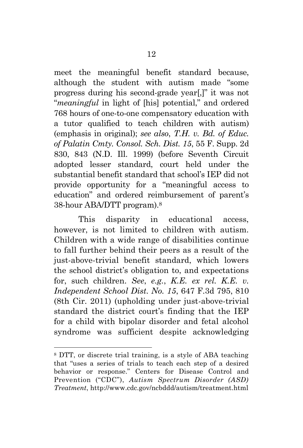meet the meaningful benefit standard because, although the student with autism made "some progress during his second-grade year[,]" it was not "*meaningful* in light of [his] potential," and ordered 768 hours of one-to-one compensatory education with a tutor qualified to teach children with autism) (emphasis in original); *see also*, *T.H. v. Bd. of Educ. of Palatin Cmty. Consol. Sch. Dist. 15*, 55 F. Supp. 2d 830, 843 (N.D. Ill. 1999) (before Seventh Circuit adopted lesser standard, court held under the substantial benefit standard that school's IEP did not provide opportunity for a "meaningful access to education" and ordered reimbursement of parent's 38-hour ABA/DTT program).<sup>8</sup>

This disparity in educational access, however, is not limited to children with autism. Children with a wide range of disabilities continue to fall further behind their peers as a result of the just-above-trivial benefit standard, which lowers the school district's obligation to, and expectations for, such children. *See*, *e.g.*, *K.E. ex rel. K.E. v. Independent School Dist. No. 15*, 647 F.3d 795, 810 (8th Cir. 2011) (upholding under just-above-trivial standard the district court's finding that the IEP for a child with bipolar disorder and fetal alcohol syndrome was sufficient despite acknowledging

<sup>8</sup> DTT, or discrete trial training, is a style of ABA teaching that "uses a series of trials to teach each step of a desired behavior or response." Centers for Disease Control and Prevention ("CDC"), *Autism Spectrum Disorder (ASD) Treatment*, http://www.cdc.gov/ncbddd/autism/treatment.html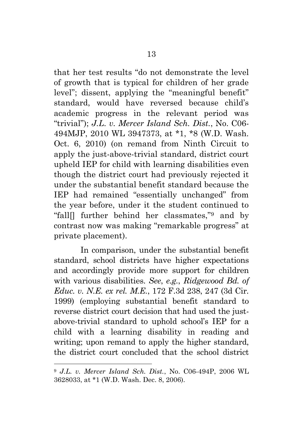that her test results "do not demonstrate the level of growth that is typical for children of her grade level"; dissent, applying the "meaningful benefit" standard, would have reversed because child's academic progress in the relevant period was "trivial"); *J.L. v. Mercer Island Sch. Dist.*, No. C06- 494MJP, 2010 WL 3947373, at \*1, \*8 (W.D. Wash. Oct. 6, 2010) (on remand from Ninth Circuit to apply the just-above-trivial standard, district court upheld IEP for child with learning disabilities even though the district court had previously rejected it under the substantial benefit standard because the IEP had remained "essentially unchanged" from the year before, under it the student continued to "fall[] further behind her classmates,"<sup>9</sup> and by contrast now was making "remarkable progress" at private placement).

In comparison, under the substantial benefit standard, school districts have higher expectations and accordingly provide more support for children with various disabilities. *See*, *e.g.*, *[Ridgewood Bd. of](http://www.westlaw.com/Link/Document/FullText?findType=Y&serNum=1999090196&pubNum=506&originatingDoc=I54e16e004a8411db99a18fc28eb0d9ae&refType=RP&fi=co_pp_sp_506_247&originationContext=document&vr=3.0&rs=cblt1.0&transitionType=DocumentItem&contextData=(sc.Search)#co_pp_sp_506_247)  Educ. v. N.E. ex rel. M.E.*[, 172 F.3d 238, 247 \(3d Cir.](http://www.westlaw.com/Link/Document/FullText?findType=Y&serNum=1999090196&pubNum=506&originatingDoc=I54e16e004a8411db99a18fc28eb0d9ae&refType=RP&fi=co_pp_sp_506_247&originationContext=document&vr=3.0&rs=cblt1.0&transitionType=DocumentItem&contextData=(sc.Search)#co_pp_sp_506_247)  [1999\)](http://www.westlaw.com/Link/Document/FullText?findType=Y&serNum=1999090196&pubNum=506&originatingDoc=I54e16e004a8411db99a18fc28eb0d9ae&refType=RP&fi=co_pp_sp_506_247&originationContext=document&vr=3.0&rs=cblt1.0&transitionType=DocumentItem&contextData=(sc.Search)#co_pp_sp_506_247) (employing substantial benefit standard to reverse district court decision that had used the justabove-trivial standard to uphold school's IEP for a child with a learning disability in reading and writing; upon remand to apply the higher standard, the district court concluded that the school district

<sup>9</sup> *J.L. v. Mercer Island Sch. Dist.*, No. C06-494P, 2006 WL 3628033, at \*1 (W.D. Wash. Dec. 8, 2006).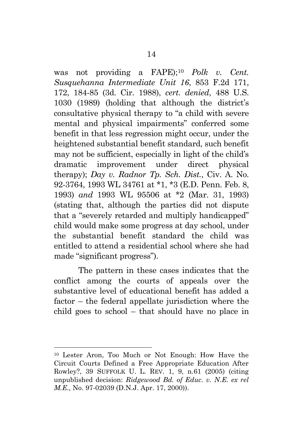was not providing a FAPE);<sup>10</sup> *Polk v. Cent. Susquehanna Intermediate Unit 16*, 853 F.2d 171, 172, 184-85 (3d. Cir. 1988), *cert. denied*, 488 U.S. 1030 (1989) (holding that although the district's consultative physical therapy to "a child with severe mental and physical impairments" conferred some benefit in that less regression might occur, under the heightened substantial benefit standard, such benefit may not be sufficient, especially in light of the child's dramatic improvement under direct physical therapy); *Day v. Radnor Tp. Sch. Dist.*, Civ. A. No. 92-3764, 1993 WL 34761 at \*1, \*3 (E.D. Penn. Feb. 8, 1993) *and* 1993 WL 95506 at \*2 (Mar. 31, 1993) (stating that, although the parties did not dispute that a "severely retarded and multiply handicapped" child would make some progress at day school, under the substantial benefit standard the child was entitled to attend a residential school where she had made "significant progress").

The pattern in these cases indicates that the conflict among the courts of appeals over the substantive level of educational benefit has added a factor – the federal appellate jurisdiction where the child goes to school – that should have no place in

<sup>10</sup> Lester Aron, Too Much or Not Enough: How Have the Circuit Courts Defined a Free Appropriate Education After Rowley?, 39 SUFFOLK U. L. REV. 1, 9, n.61 (2005) (citing unpublished decision: *Ridgewood Bd. of Educ. v. N.E. ex rel M.E.,* No. 97-02039 (D.N.J. Apr. 17, 2000)).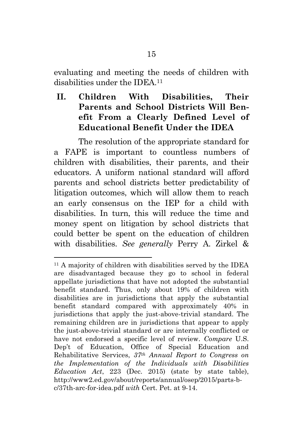evaluating and meeting the needs of children with disabilities under the IDEA 11

# **II. Children With Disabilities, Their Parents and School Districts Will Benefit From a Clearly Defined Level of Educational Benefit Under the IDEA**

The resolution of the appropriate standard for a FAPE is important to countless numbers of children with disabilities, their parents, and their educators. A uniform national standard will afford parents and school districts better predictability of litigation outcomes, which will allow them to reach an early consensus on the IEP for a child with disabilities. In turn, this will reduce the time and money spent on litigation by school districts that could better be spent on the education of children with disabilities. *See generally* Perry A. Zirkel &

<sup>11</sup> A majority of children with disabilities served by the IDEA are disadvantaged because they go to school in federal appellate jurisdictions that have not adopted the substantial benefit standard. Thus, only about 19% of children with disabilities are in jurisdictions that apply the substantial benefit standard compared with approximately 40% in jurisdictions that apply the just-above-trivial standard. The remaining children are in jurisdictions that appear to apply the just-above-trivial standard or are internally conflicted or have not endorsed a specific level of review. *Compare* U.S. Dep't of Education, Office of Special Education and Rehabilitative Services, *37th Annual Report to Congress on the Implementation of the Individuals with Disabilities Education Act*, 223 (Dec. 2015) (state by state table), http://www2.ed.gov/about/reports/annual/osep/2015/parts-bc/37th-arc-for-idea.pdf *with* Cert. Pet. at 9-14.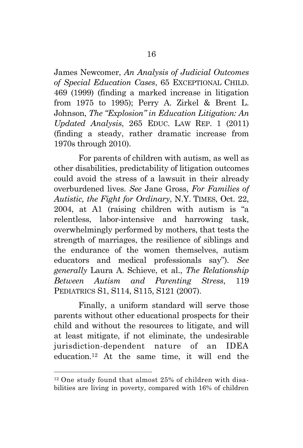James Newcomer, *An Analysis of Judicial Outcomes of Special Education Cases*, 65 EXCEPTIONAL CHILD. 469 (1999) (finding a marked increase in litigation from 1975 to 1995); Perry A. Zirkel & Brent L. Johnson, *The "Explosion" in Education Litigation: An Updated Analysis*, 265 EDUC. LAW REP. 1 (2011) (finding a steady, rather dramatic increase from 1970s through 2010).

For parents of children with autism, as well as other disabilities, predictability of litigation outcomes could avoid the stress of a lawsuit in their already overburdened lives. *See* Jane Gross, *For Families of Autistic, the Fight for Ordinary*, N.Y. TIMES, Oct. 22, 2004, at A1 (raising children with autism is "a relentless, labor-intensive and harrowing task, overwhelmingly performed by mothers, that tests the strength of marriages, the resilience of siblings and the endurance of the women themselves, autism educators and medical professionals say"). *See generally* Laura A. Schieve, et al., *The Relationship Between Autism and Parenting Stress*, 119 PEDIATRICS S1, S114, S115, S121 (2007).

Finally, a uniform standard will serve those parents without other educational prospects for their child and without the resources to litigate, and will at least mitigate, if not eliminate, the undesirable jurisdiction-dependent nature of an IDEA education.<sup>12</sup> At the same time, it will end the

<sup>12</sup> One study found that almost 25% of children with disabilities are living in poverty, compared with 16% of children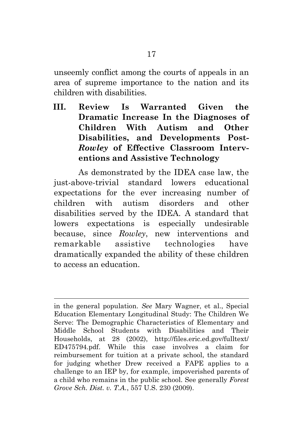unseemly conflict among the courts of appeals in an area of supreme importance to the nation and its children with disabilities.

**III. Review Is Warranted Given the Dramatic Increase In the Diagnoses of Children With Autism and Other Disabilities, and Developments Post-***Rowley* **of Effective Classroom Interventions and Assistive Technology**

As demonstrated by the IDEA case law, the just-above-trivial standard lowers educational expectations for the ever increasing number of children with autism disorders and other disabilities served by the IDEA. A standard that lowers expectations is especially undesirable because, since *Rowley*, new interventions and remarkable assistive technologies have dramatically expanded the ability of these children to access an education.

in the general population. *See* Mary Wagner, et al., Special Education Elementary Longitudinal Study: The Children We Serve: The Demographic Characteristics of Elementary and Middle School Students with Disabilities and Their Households, at 28 (2002), <http://files.eric.ed.gov/fulltext/> ED475794.pdf. While this case involves a claim for reimbursement for tuition at a private school, the standard for judging whether Drew received a FAPE applies to a challenge to an IEP by, for example, impoverished parents of a child who remains in the public school. See generally *Forest Grove Sch. Dist. v. T.A.*, 557 U.S. 230 (2009).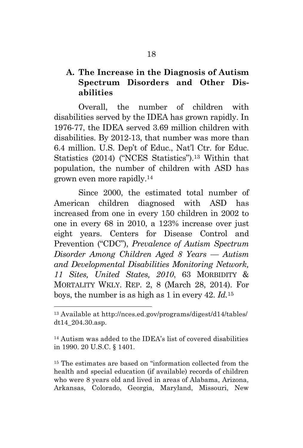# **A. The Increase in the Diagnosis of Autism Spectrum Disorders and Other Disabilities**

Overall, the number of children with disabilities served by the IDEA has grown rapidly. In 1976-77, the IDEA served 3.69 million children with disabilities. By 2012-13, that number was more than 6.4 million. U.S. Dep't of Educ., Nat'l Ctr. for Educ. Statistics (2014) ("NCES Statistics").<sup>13</sup> Within that population, the number of children with ASD has grown even more rapidly.<sup>14</sup>

Since 2000, the estimated total number of American children diagnosed with ASD has increased from one in every 150 children in 2002 to one in every 68 in 2010, a 123% increase over just eight years. Centers for Disease Control and Prevention ("CDC"), *Prevalence of Autism Spectrum Disorder Among Children Aged 8 Years — Autism and Developmental Disabilities Monitoring Network, 11 Sites, United States, 2010*, 63 MORBIDITY & MORTALITY WKLY. REP. 2, 8 (March 28, 2014). For boys, the number is as high as 1 in every 42. *Id.*<sup>15</sup>

 $\overline{a}$ 

<sup>15</sup> The estimates are based on "information collected from the health and special education (if available) records of children who were 8 years old and lived in areas of Alabama, Arizona, Arkansas, Colorado, Georgia, Maryland, Missouri, New

<sup>13</sup> Available at http://nces.ed.gov/programs/digest/d14/tables/ dt14\_204.30.asp.

<sup>14</sup> Autism was added to the IDEA's list of covered disabilities in 1990. 20 U.S.C. § 1401.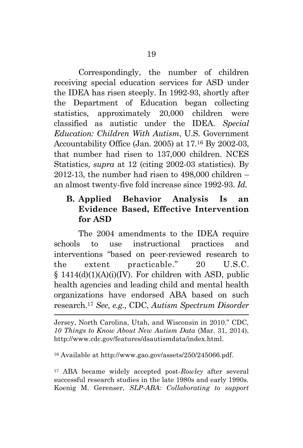Correspondingly, the number of children receiving special education services for ASD under the IDEA has risen steeply. In 1992-93, shortly after the Department of Education began collecting statistics, approximately 20,000 children were classified as autistic under the IDEA. *Special Education: Children With Autism*, U.S. Government Accountability Office (Jan. 2005) at 17.<sup>16</sup> By 2002-03, that number had risen to 137,000 children. NCES Statistics, *supra* at 12 (citing 2002-03 statistics). By 2012-13, the number had risen to  $498,000$  children  $$ an almost twenty-five fold increase since 1992-93. *Id.*

# **B. Applied Behavior Analysis Is an Evidence Based, Effective Intervention for ASD**

The 2004 amendments to the IDEA require schools to use instructional practices and interventions "based on peer-reviewed research to the extent practicable." 20 U.S.C. § 1414(d)(1)(A)(i)(IV). For children with ASD, public health agencies and leading child and mental health organizations have endorsed ABA based on such research.<sup>17</sup> *See*, *e.g.*, CDC, *Autism Spectrum Disorder* 

Jersey, North Carolina, Utah, and Wisconsin in 2010." CDC, *10 Things to Know About New Autism Data* (Mar. 31, 2014), http://www.cdc.gov/features/dsautismdata/index.html.

<sup>16</sup> Available at http://www.gao.gov/assets/250/245066.pdf.

 $\overline{a}$ 

<sup>17</sup> ABA became widely accepted post-*Rowley* after several successful research studies in the late 1980s and early 1990s. Koenig M. Gerenser, *SLP-ABA: Collaborating to support*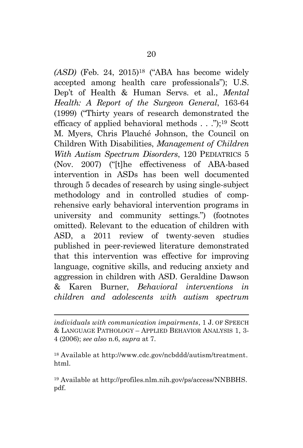*(ASD)* (Feb. 24, 2015)<sup>18</sup> ("ABA has become widely accepted among health care professionals"); U.S. Dep't of Health & Human Servs. et al., *Mental Health: A Report of the Surgeon General*, 163-64 (1999) ("Thirty years of research demonstrated the efficacy of applied behavioral methods . . .");<sup>19</sup> Scott M. Myers, Chris Plauché Johnson, the Council on Children With Disabilities, *Management of Children With Autism Spectrum Disorders*, 120 PEDIATRICS 5 (Nov. 2007) ("[t]he effectiveness of ABA-based intervention in ASDs has been well documented through 5 decades of research by using single-subject methodology and in controlled studies of comprehensive early behavioral intervention programs in university and community settings.") (footnotes omitted). Relevant to the education of children with ASD, a 2011 review of twenty-seven studies published in peer-reviewed literature demonstrated that this intervention was effective for improving language, cognitive skills, and reducing anxiety and aggression in children with ASD. Geraldine Dawson & Karen Burner, *Behavioral interventions in children and adolescents with autism spectrum* 

*individuals with communication impairments*, 1 J. OF SPEECH & LANGUAGE PATHOLOGY – APPLIED BEHAVIOR ANALYSIS 1, 3- 4 (2006); *see also* n.6, *supra* at 7.

 $\overline{a}$ 

<sup>18</sup> Available at [http://www.cdc.gov/ncbddd/autism/treatment.](http://www.cdc.gov/ncbddd/autism/treatment) html.

<sup>19</sup> Available at [http://profiles.nlm.nih.gov/ps/access/NNBBHS.](http://profiles.nlm.nih.gov/ps/access/NNBBHS) pdf.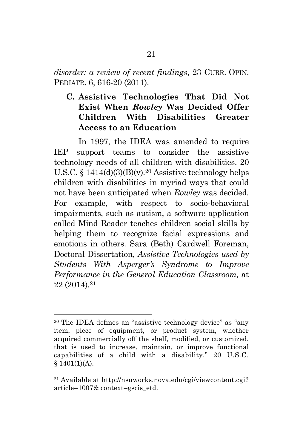*disorder: a review of recent findings*, 23 CURR. OPIN. PEDIATR. 6, 616-20 (2011).

**C. Assistive Technologies That Did Not Exist When** *Rowley* **Was Decided Offer Children With Disabilities Greater Access to an Education**

In 1997, the IDEA was amended to require IEP support teams to consider the assistive technology needs of all children with disabilities. 20 U.S.C.  $$1414(d)(3)(B)(v).^{20}$  Assistive technology helps children with disabilities in myriad ways that could not have been anticipated when *Rowley* was decided. For example, with respect to socio-behavioral impairments, such as autism, a software application called Mind Reader teaches children social skills by helping them to recognize facial expressions and emotions in others. Sara (Beth) Cardwell Foreman, Doctoral Dissertation, *Assistive Technologies used by Students With Asperger's Syndrome to Improve Performance in the General Education Classroom,* at 22 (2014).<sup>21</sup>

<sup>20</sup> The IDEA defines an "assistive technology device" as "any item, piece of equipment, or product system, whether acquired commercially off the shelf, modified, or customized, that is used to increase, maintain, or improve functional capabilities of a child with a disability." 20 U.S.C.  $$1401(1)(A).$ 

<sup>21</sup> Available at [http://nsuworks.nova.edu/cgi/viewcontent.cgi?](http://nsuworks.nova.edu/cgi/viewcontent.cgi) article=1007& context=gscis\_etd.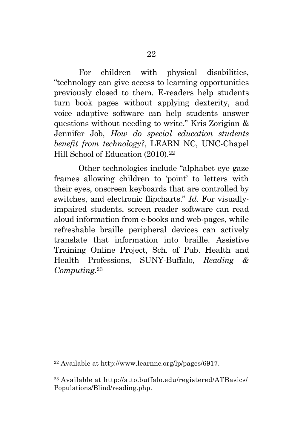For children with physical disabilities, "technology can give access to learning opportunities previously closed to them. E-readers help students turn book pages without applying dexterity, and voice adaptive software can help students answer questions without needing to write." Kris Zorigian & Jennifer Job, *How do special education students benefit from technology?*, LEARN NC, UNC-Chapel Hill School of Education (2010).<sup>22</sup>

Other technologies include "alphabet eye gaze frames allowing children to 'point' to letters with their eyes, onscreen keyboards that are controlled by switches, and electronic flipcharts." *Id.* For visuallyimpaired students, screen reader software can read aloud information from e-books and web-pages, while refreshable braille peripheral devices can actively translate that information into braille. Assistive Training Online Project, Sch. of Pub. Health and Health Professions, SUNY-Buffalo, *Reading & Computing*. 23

<sup>22</sup> Available at http://www.learnnc.org/lp/pages/6917.

<sup>23</sup> Available at<http://atto.buffalo.edu/registered/ATBasics/> Populations/Blind/reading.php.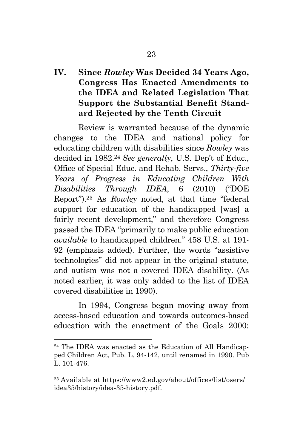# **IV. Since** *Rowley* **Was Decided 34 Years Ago, Congress Has Enacted Amendments to the IDEA and Related Legislation That Support the Substantial Benefit Standard Rejected by the Tenth Circuit**

Review is warranted because of the dynamic changes to the IDEA and national policy for educating children with disabilities since *Rowley* was decided in 1982.<sup>24</sup> *See generally*, U.S. Dep't of Educ., Office of Special Educ. and Rehab. Servs., *Thirty-five Years of Progress in Educating Children With Disabilities Through IDEA*, 6 (2010) ("DOE Report").25 As *Rowley* noted, at that time "federal support for education of the handicapped [was] a fairly recent development," and therefore Congress passed the IDEA "primarily to make public education *available* to handicapped children." 458 U.S. at 191- 92 (emphasis added). Further, the words "assistive technologies" did not appear in the original statute, and autism was not a covered IDEA disability. (As noted earlier, it was only added to the list of IDEA covered disabilities in 1990).

In 1994, Congress began moving away from access-based education and towards outcomes-based education with the enactment of the Goals 2000:

<sup>24</sup> The IDEA was enacted as the Education of All Handicapped Children Act, Pub. L. 94-142, until renamed in 1990. Pub L. 101-476.

<sup>25</sup> Available at<https://www2.ed.gov/about/offices/list/osers/> idea35/history/idea-35-history.pdf.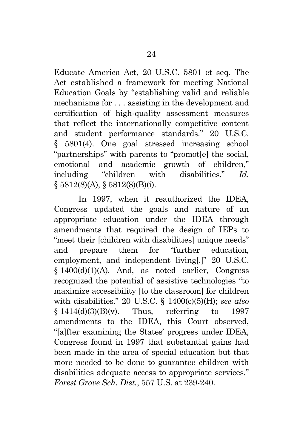Educate America Act, 20 U.S.C. 5801 et seq. The Act established a framework for meeting National Education Goals by "establishing valid and reliable mechanisms for . . . assisting in the development and certification of high-quality assessment measures that reflect the internationally competitive content and student performance standards." 20 U.S.C. § 5801(4). One goal stressed increasing school "partnerships" with parents to "promot[e] the social, emotional and academic growth of children," including "children with disabilities." *Id.* § 5812(8)(A), § 5812(8)(B)(i).

In 1997, when it reauthorized the IDEA, Congress updated the goals and nature of an appropriate education under the IDEA through amendments that required the design of IEPs to "meet their [children with disabilities] unique needs" and prepare them for "further education, employment, and independent living[.]" 20 U.S.C. § 1400(d)(1)(A). And, as noted earlier, Congress recognized the potential of assistive technologies "to maximize accessibility [to the classroom] for children with disabilities." 20 U.S.C. § 1400(c)(5)(H); *see also*  $\{1414(d)(3)(B)(v)\}$ . Thus, referring to 1997 amendments to the IDEA, this Court observed, "[a]fter examining the States' progress under IDEA, Congress found in 1997 that substantial gains had been made in the area of special education but that more needed to be done to guarantee children with disabilities adequate access to appropriate services." *Forest Grove Sch. Dist.*, 557 U.S. at 239-240.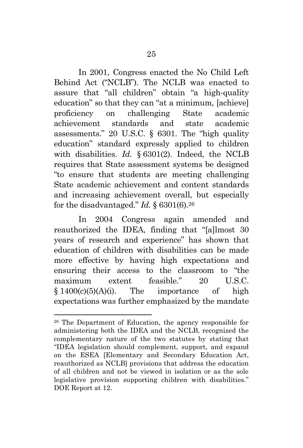In 2001, Congress enacted the No Child Left Behind Act ("NCLB"). The NCLB was enacted to assure that "all children" obtain "a high-quality education" so that they can "at a minimum, [achieve] proficiency on challenging State academic achievement standards and state academic assessments." 20 U.S.C. § 6301. The "high quality education" standard expressly applied to children with disabilities. *Id.* § 6301(2). Indeed, the NCLB requires that State assessment systems be designed "to ensure that students are meeting challenging State academic achievement and content standards and increasing achievement overall, but especially for the disadvantaged." *Id.*  $\S$  6301(6).<sup>26</sup>

In 2004 Congress again amended and reauthorized the IDEA, finding that "[a]lmost 30 years of research and experience" has shown that education of children with disabilities can be made more effective by having high expectations and ensuring their access to the classroom to "the maximum extent feasible."  $20$  U.S.C.  $§ 1400(c)(5)(A)(i)$ . The importance of high expectations was further emphasized by the mandate

<sup>26</sup> The Department of Education, the agency responsible for administering both the IDEA and the NCLB, recognized the complementary nature of the two statutes by stating that "IDEA legislation should complement, support, and expand on the ESEA [Elementary and Secondary Education Act, reauthorized as NCLB] provisions that address the education of all children and not be viewed in isolation or as the sole legislative provision supporting children with disabilities." DOE Report at 12.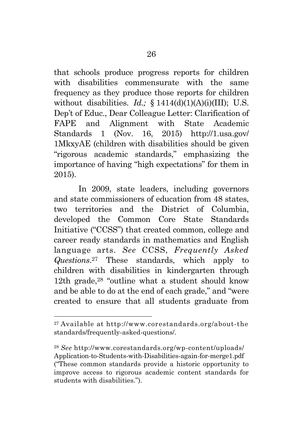that schools produce progress reports for children with disabilities commensurate with the same frequency as they produce those reports for children without disabilities. *Id.*; § 1414(d)(1)(A)(i)(III); U.S. Dep't of Educ., Dear Colleague Letter: Clarification of FAPE and Alignment with State Academic Standards 1 (Nov. 16, 2015) http://1.usa.gov/ 1MkxyAE (children with disabilities should be given "rigorous academic standards," emphasizing the importance of having "high expectations" for them in 2015).

In 2009, state leaders, including governors and state commissioners of education from 48 states, two territories and the District of Columbia, developed the Common Core State Standards Initiative ("CCSS") that created common, college and career ready standards in mathematics and English language arts. *See* CCSS, *Frequently Asked Questions*. <sup>27</sup> These standards, which apply to children with disabilities in kindergarten through 12th grade, $28$  "outline what a student should know and be able to do at the end of each grade," and "were created to ensure that all students graduate from

<sup>27</sup> Available at http://www.corestandards.org/about-the standards/frequently-asked-questions/.

<sup>28</sup> *See* <http://www.corestandards.org/wp-content/uploads/> Application-to-Students-with-Disabilities-again-for-merge1.pdf ("These common standards provide a historic opportunity to improve access to rigorous academic content standards for students with disabilities.").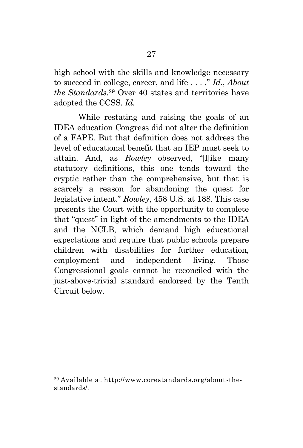high school with the skills and knowledge necessary to succeed in college, career, and life . . . ." *Id*., *About the Standards*. <sup>29</sup> Over 40 states and territories have adopted the CCSS. *Id.* 

While restating and raising the goals of an IDEA education Congress did not alter the definition of a FAPE. But that definition does not address the level of educational benefit that an IEP must seek to attain. And, as *Rowley* observed, "[l]ike many statutory definitions, this one tends toward the cryptic rather than the comprehensive, but that is scarcely a reason for abandoning the quest for legislative intent." *Rowley*, 458 U.S. at 188. This case presents the Court with the opportunity to complete that "quest" in light of the amendments to the IDEA and the NCLB, which demand high educational expectations and require that public schools prepare children with disabilities for further education, employment and independent living. Those Congressional goals cannot be reconciled with the just-above-trivial standard endorsed by the Tenth Circuit below.

<sup>29</sup> Available at http://www.corestandards.org/about-thestandards/.